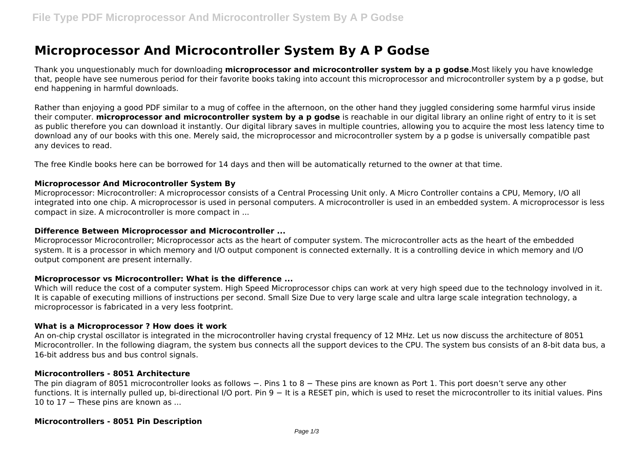# **Microprocessor And Microcontroller System By A P Godse**

Thank you unquestionably much for downloading **microprocessor and microcontroller system by a p godse**.Most likely you have knowledge that, people have see numerous period for their favorite books taking into account this microprocessor and microcontroller system by a p godse, but end happening in harmful downloads.

Rather than enjoying a good PDF similar to a mug of coffee in the afternoon, on the other hand they juggled considering some harmful virus inside their computer. **microprocessor and microcontroller system by a p godse** is reachable in our digital library an online right of entry to it is set as public therefore you can download it instantly. Our digital library saves in multiple countries, allowing you to acquire the most less latency time to download any of our books with this one. Merely said, the microprocessor and microcontroller system by a p godse is universally compatible past any devices to read.

The free Kindle books here can be borrowed for 14 days and then will be automatically returned to the owner at that time.

## **Microprocessor And Microcontroller System By**

Microprocessor: Microcontroller: A microprocessor consists of a Central Processing Unit only. A Micro Controller contains a CPU, Memory, I/O all integrated into one chip. A microprocessor is used in personal computers. A microcontroller is used in an embedded system. A microprocessor is less compact in size. A microcontroller is more compact in ...

#### **Difference Between Microprocessor and Microcontroller ...**

Microprocessor Microcontroller; Microprocessor acts as the heart of computer system. The microcontroller acts as the heart of the embedded system. It is a processor in which memory and I/O output component is connected externally. It is a controlling device in which memory and I/O output component are present internally.

#### **Microprocessor vs Microcontroller: What is the difference ...**

Which will reduce the cost of a computer system. High Speed Microprocessor chips can work at very high speed due to the technology involved in it. It is capable of executing millions of instructions per second. Small Size Due to very large scale and ultra large scale integration technology, a microprocessor is fabricated in a very less footprint.

#### **What is a Microprocessor ? How does it work**

An on-chip crystal oscillator is integrated in the microcontroller having crystal frequency of 12 MHz. Let us now discuss the architecture of 8051 Microcontroller. In the following diagram, the system bus connects all the support devices to the CPU. The system bus consists of an 8-bit data bus, a 16-bit address bus and bus control signals.

#### **Microcontrollers - 8051 Architecture**

The pin diagram of 8051 microcontroller looks as follows −. Pins 1 to 8 – These pins are known as Port 1. This port doesn't serve any other functions. It is internally pulled up, bi-directional I/O port. Pin 9 – It is a RESET pin, which is used to reset the microcontroller to its initial values. Pins 10 to 17 − These pins are known as ...

#### **Microcontrollers - 8051 Pin Description**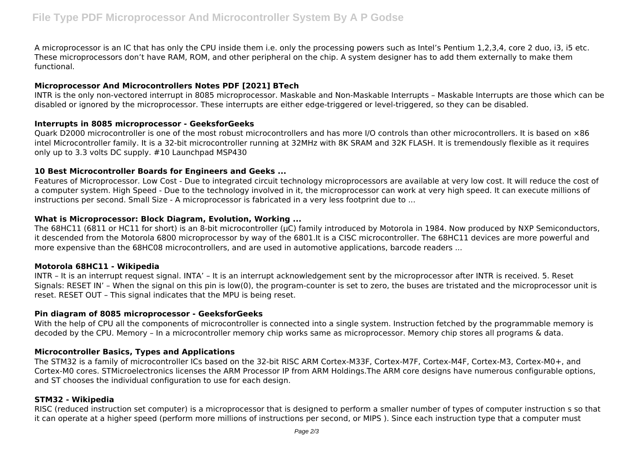A microprocessor is an IC that has only the CPU inside them i.e. only the processing powers such as Intel's Pentium 1,2,3,4, core 2 duo, i3, i5 etc. These microprocessors don't have RAM, ROM, and other peripheral on the chip. A system designer has to add them externally to make them functional.

# **Microprocessor And Microcontrollers Notes PDF [2021] BTech**

INTR is the only non-vectored interrupt in 8085 microprocessor. Maskable and Non-Maskable Interrupts – Maskable Interrupts are those which can be disabled or ignored by the microprocessor. These interrupts are either edge-triggered or level-triggered, so they can be disabled.

## **Interrupts in 8085 microprocessor - GeeksforGeeks**

Quark D2000 microcontroller is one of the most robust microcontrollers and has more I/O controls than other microcontrollers. It is based on ×86 intel Microcontroller family. It is a 32-bit microcontroller running at 32MHz with 8K SRAM and 32K FLASH. It is tremendously flexible as it requires only up to 3.3 volts DC supply. #10 Launchpad MSP430

## **10 Best Microcontroller Boards for Engineers and Geeks ...**

Features of Microprocessor. Low Cost - Due to integrated circuit technology microprocessors are available at very low cost. It will reduce the cost of a computer system. High Speed - Due to the technology involved in it, the microprocessor can work at very high speed. It can execute millions of instructions per second. Small Size - A microprocessor is fabricated in a very less footprint due to ...

# **What is Microprocessor: Block Diagram, Evolution, Working ...**

The 68HC11 (6811 or HC11 for short) is an 8-bit microcontroller (µC) family introduced by Motorola in 1984. Now produced by NXP Semiconductors, it descended from the Motorola 6800 microprocessor by way of the 6801.It is a CISC microcontroller. The 68HC11 devices are more powerful and more expensive than the 68HC08 microcontrollers, and are used in automotive applications, barcode readers ...

## **Motorola 68HC11 - Wikipedia**

INTR – It is an interrupt request signal. INTA' – It is an interrupt acknowledgement sent by the microprocessor after INTR is received. 5. Reset Signals: RESET IN' – When the signal on this pin is low(0), the program-counter is set to zero, the buses are tristated and the microprocessor unit is reset. RESET OUT – This signal indicates that the MPU is being reset.

## **Pin diagram of 8085 microprocessor - GeeksforGeeks**

With the help of CPU all the components of microcontroller is connected into a single system. Instruction fetched by the programmable memory is decoded by the CPU. Memory – In a microcontroller memory chip works same as microprocessor. Memory chip stores all programs & data.

## **Microcontroller Basics, Types and Applications**

The STM32 is a family of microcontroller ICs based on the 32-bit RISC ARM Cortex-M33F, Cortex-M7F, Cortex-M4F, Cortex-M3, Cortex-M0+, and Cortex-M0 cores. STMicroelectronics licenses the ARM Processor IP from ARM Holdings.The ARM core designs have numerous configurable options, and ST chooses the individual configuration to use for each design.

## **STM32 - Wikipedia**

RISC (reduced instruction set computer) is a microprocessor that is designed to perform a smaller number of types of computer instruction s so that it can operate at a higher speed (perform more millions of instructions per second, or MIPS ). Since each instruction type that a computer must